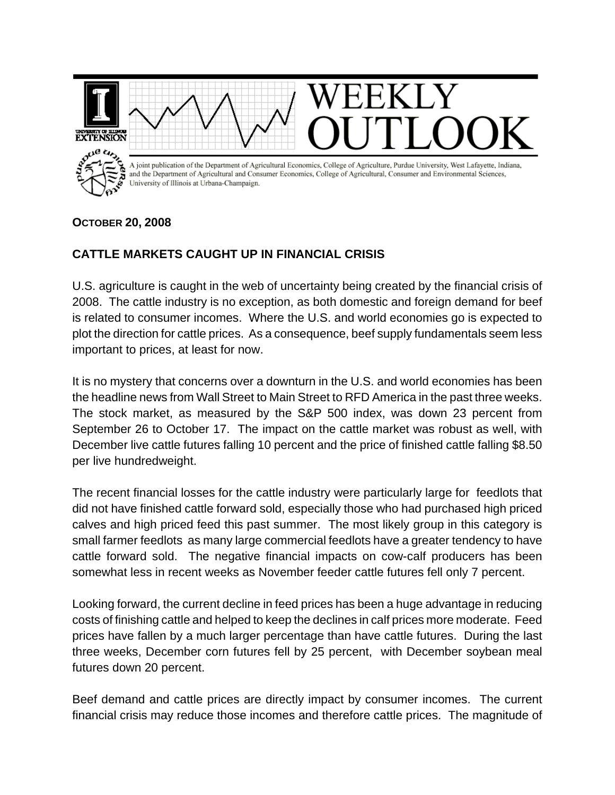

## **OCTOBER 20, 2008**

## **CATTLE MARKETS CAUGHT UP IN FINANCIAL CRISIS**

U.S. agriculture is caught in the web of uncertainty being created by the financial crisis of 2008. The cattle industry is no exception, as both domestic and foreign demand for beef is related to consumer incomes. Where the U.S. and world economies go is expected to plot the direction for cattle prices. As a consequence, beef supply fundamentals seem less important to prices, at least for now.

It is no mystery that concerns over a downturn in the U.S. and world economies has been the headline news from Wall Street to Main Street to RFD America in the past three weeks. The stock market, as measured by the S&P 500 index, was down 23 percent from September 26 to October 17. The impact on the cattle market was robust as well, with December live cattle futures falling 10 percent and the price of finished cattle falling \$8.50 per live hundredweight.

The recent financial losses for the cattle industry were particularly large for feedlots that did not have finished cattle forward sold, especially those who had purchased high priced calves and high priced feed this past summer. The most likely group in this category is small farmer feedlots as many large commercial feedlots have a greater tendency to have cattle forward sold. The negative financial impacts on cow-calf producers has been somewhat less in recent weeks as November feeder cattle futures fell only 7 percent.

Looking forward, the current decline in feed prices has been a huge advantage in reducing costs of finishing cattle and helped to keep the declines in calf prices more moderate. Feed prices have fallen by a much larger percentage than have cattle futures. During the last three weeks, December corn futures fell by 25 percent, with December soybean meal futures down 20 percent.

Beef demand and cattle prices are directly impact by consumer incomes. The current financial crisis may reduce those incomes and therefore cattle prices. The magnitude of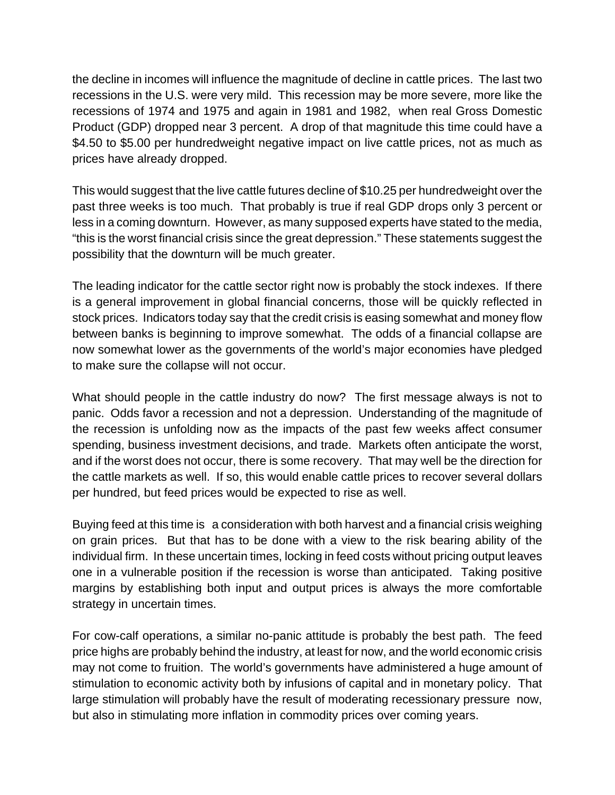the decline in incomes will influence the magnitude of decline in cattle prices. The last two recessions in the U.S. were very mild. This recession may be more severe, more like the recessions of 1974 and 1975 and again in 1981 and 1982, when real Gross Domestic Product (GDP) dropped near 3 percent. A drop of that magnitude this time could have a \$4.50 to \$5.00 per hundredweight negative impact on live cattle prices, not as much as prices have already dropped.

This would suggest that the live cattle futures decline of \$10.25 per hundredweight over the past three weeks is too much. That probably is true if real GDP drops only 3 percent or less in a coming downturn. However, as many supposed experts have stated to the media, "this is the worst financial crisis since the great depression." These statements suggest the possibility that the downturn will be much greater.

The leading indicator for the cattle sector right now is probably the stock indexes. If there is a general improvement in global financial concerns, those will be quickly reflected in stock prices. Indicators today say that the credit crisis is easing somewhat and money flow between banks is beginning to improve somewhat. The odds of a financial collapse are now somewhat lower as the governments of the world's major economies have pledged to make sure the collapse will not occur.

What should people in the cattle industry do now? The first message always is not to panic. Odds favor a recession and not a depression. Understanding of the magnitude of the recession is unfolding now as the impacts of the past few weeks affect consumer spending, business investment decisions, and trade. Markets often anticipate the worst, and if the worst does not occur, there is some recovery. That may well be the direction for the cattle markets as well. If so, this would enable cattle prices to recover several dollars per hundred, but feed prices would be expected to rise as well.

Buying feed at this time is a consideration with both harvest and a financial crisis weighing on grain prices. But that has to be done with a view to the risk bearing ability of the individual firm. In these uncertain times, locking in feed costs without pricing output leaves one in a vulnerable position if the recession is worse than anticipated. Taking positive margins by establishing both input and output prices is always the more comfortable strategy in uncertain times.

For cow-calf operations, a similar no-panic attitude is probably the best path. The feed price highs are probably behind the industry, at least for now, and the world economic crisis may not come to fruition. The world's governments have administered a huge amount of stimulation to economic activity both by infusions of capital and in monetary policy. That large stimulation will probably have the result of moderating recessionary pressure now, but also in stimulating more inflation in commodity prices over coming years.